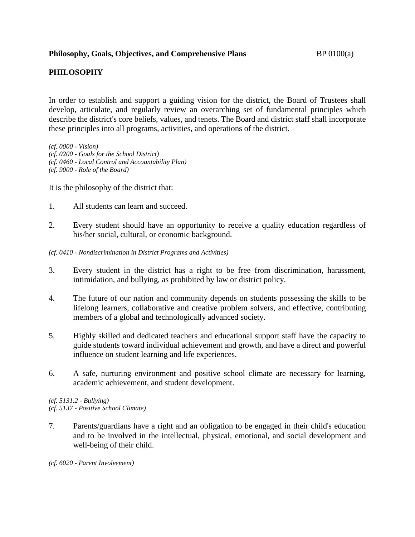## **PHILOSOPHY**

In order to establish and support a guiding vision for the district, the Board of Trustees shall develop, articulate, and regularly review an overarching set of fundamental principles which describe the district's core beliefs, values, and tenets. The Board and district staff shall incorporate these principles into all programs, activities, and operations of the district.

*(cf. 0000 - Vision) (cf. 0200 - Goals for the School District) (cf. 0460 - Local Control and Accountability Plan) (cf. 9000 - Role of the Board)*

It is the philosophy of the district that:

- 1. All students can learn and succeed.
- 2. Every student should have an opportunity to receive a quality education regardless of his/her social, cultural, or economic background.
- *(cf. 0410 - Nondiscrimination in District Programs and Activities)*
- 3. Every student in the district has a right to be free from discrimination, harassment, intimidation, and bullying, as prohibited by law or district policy.
- 4. The future of our nation and community depends on students possessing the skills to be lifelong learners, collaborative and creative problem solvers, and effective, contributing members of a global and technologically advanced society.
- 5. Highly skilled and dedicated teachers and educational support staff have the capacity to guide students toward individual achievement and growth, and have a direct and powerful influence on student learning and life experiences.
- 6. A safe, nurturing environment and positive school climate are necessary for learning, academic achievement, and student development.

*(cf. 5131.2 - Bullying) (cf. 5137 - Positive School Climate)*

7. Parents/guardians have a right and an obligation to be engaged in their child's education and to be involved in the intellectual, physical, emotional, and social development and well-being of their child.

*(cf. 6020 - Parent Involvement)*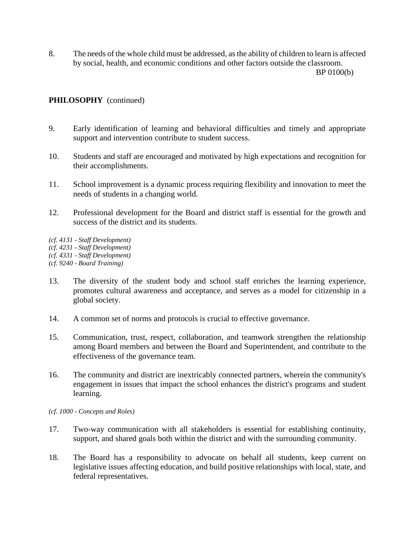8. The needs of the whole child must be addressed, as the ability of children to learn is affected by social, health, and economic conditions and other factors outside the classroom. BP 0100(b)

## **PHILOSOPHY** (continued)

- 9. Early identification of learning and behavioral difficulties and timely and appropriate support and intervention contribute to student success.
- 10. Students and staff are encouraged and motivated by high expectations and recognition for their accomplishments.
- 11. School improvement is a dynamic process requiring flexibility and innovation to meet the needs of students in a changing world.
- 12. Professional development for the Board and district staff is essential for the growth and success of the district and its students.

*(cf. 4131 - Staff Development) (cf. 4231 - Staff Development) (cf. 4331 - Staff Development) (cf. 9240 - Board Training)*

- 13. The diversity of the student body and school staff enriches the learning experience, promotes cultural awareness and acceptance, and serves as a model for citizenship in a global society.
- 14. A common set of norms and protocols is crucial to effective governance.
- 15. Communication, trust, respect, collaboration, and teamwork strengthen the relationship among Board members and between the Board and Superintendent, and contribute to the effectiveness of the governance team.
- 16. The community and district are inextricably connected partners, wherein the community's engagement in issues that impact the school enhances the district's programs and student learning.
- *(cf. 1000 - Concepts and Roles)*
- 17. Two-way communication with all stakeholders is essential for establishing continuity, support, and shared goals both within the district and with the surrounding community.
- 18. The Board has a responsibility to advocate on behalf all students, keep current on legislative issues affecting education, and build positive relationships with local, state, and federal representatives.